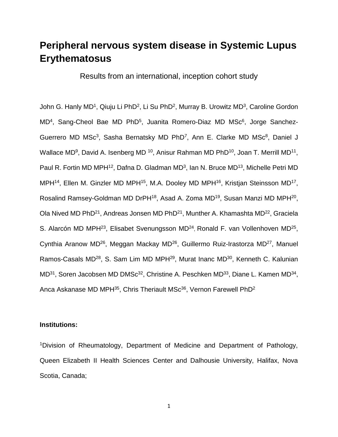# **Peripheral nervous system disease in Systemic Lupus Erythematosus**

Results from an international, inception cohort study

John G. Hanly MD<sup>1</sup>, Qiuju Li PhD<sup>2</sup>, Li Su PhD<sup>2</sup>, Murray B. Urowitz MD<sup>3</sup>, Caroline Gordon MD<sup>4</sup>, Sang-Cheol Bae MD PhD<sup>5</sup>, Juanita Romero-Diaz MD MSc<sup>6</sup>, Jorge Sanchez-Guerrero MD MSc<sup>3</sup>, Sasha Bernatsky MD PhD<sup>7</sup>, Ann E. Clarke MD MSc<sup>8</sup>, Daniel J Wallace MD<sup>9</sup>, David A. Isenberg MD <sup>10</sup>, Anisur Rahman MD PhD<sup>10</sup>, Joan T. Merrill MD<sup>11</sup>, Paul R. Fortin MD MPH<sup>12</sup>, Dafna D. Gladman MD<sup>3</sup>, Ian N. Bruce MD<sup>13</sup>, Michelle Petri MD MPH<sup>14</sup>, Ellen M. Ginzler MD MPH<sup>15</sup>, M.A. Dooley MD MPH<sup>16</sup>, Kristjan Steinsson MD<sup>17</sup>, Rosalind Ramsey-Goldman MD DrPH<sup>18</sup>, Asad A. Zoma MD<sup>19</sup>, Susan Manzi MD MPH<sup>20</sup>, Ola Nived MD PhD<sup>21</sup>, Andreas Jonsen MD PhD<sup>21</sup>, Munther A. Khamashta MD<sup>22</sup>, Graciela S. Alarcón MD MPH<sup>23</sup>, Elisabet Svenungsson MD<sup>24</sup>, Ronald F. van Vollenhoven MD<sup>25</sup>, Cynthia Aranow MD<sup>26</sup>, Meggan Mackay MD<sup>26</sup>, Guillermo Ruiz-Irastorza MD<sup>27</sup>, Manuel Ramos-Casals MD<sup>28</sup>, S. Sam Lim MD MPH<sup>29</sup>, Murat Inanc MD<sup>30</sup>, Kenneth C. Kalunian MD<sup>31</sup>, Soren Jacobsen MD DMSc<sup>32</sup>, Christine A. Peschken MD<sup>33</sup>, Diane L. Kamen MD<sup>34</sup>, Anca Askanase MD MPH $^{35}$ , Chris Theriault MSc $^{36}$ , Vernon Farewell PhD<sup>2</sup>

## **Institutions:**

<sup>1</sup>Division of Rheumatology, Department of Medicine and Department of Pathology, Queen Elizabeth II Health Sciences Center and Dalhousie University, Halifax, Nova Scotia, Canada;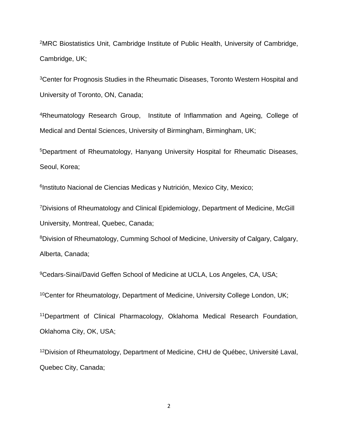<sup>2</sup>MRC Biostatistics Unit, Cambridge Institute of Public Health, University of Cambridge, Cambridge, UK;

<sup>3</sup>Center for Prognosis Studies in the Rheumatic Diseases, Toronto Western Hospital and University of Toronto, ON, Canada;

<sup>4</sup>Rheumatology Research Group, Institute of Inflammation and Ageing, College of Medical and Dental Sciences, University of Birmingham, Birmingham, UK;

<sup>5</sup>Department of Rheumatology, Hanyang University Hospital for Rheumatic Diseases, Seoul, Korea;

<sup>6</sup>Instituto Nacional de Ciencias Medicas y Nutrición, Mexico City, Mexico;

<sup>7</sup>Divisions of Rheumatology and Clinical Epidemiology, Department of Medicine, McGill University, Montreal, Quebec, Canada;

<sup>8</sup>Division of Rheumatology, Cumming School of Medicine, University of Calgary, Calgary, Alberta, Canada;

<sup>9</sup>Cedars-Sinai/David Geffen School of Medicine at UCLA, Los Angeles, CA, USA;

<sup>10</sup>Center for Rheumatology, Department of Medicine, University College London, UK;

<sup>11</sup>Department of Clinical Pharmacology, Oklahoma Medical Research Foundation, Oklahoma City, OK, USA;

<sup>12</sup>Division of Rheumatology, Department of Medicine, CHU de Québec, Université Laval, Quebec City, Canada;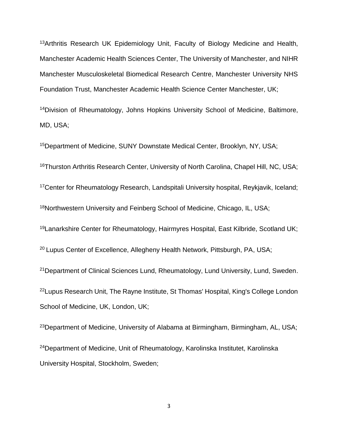<sup>13</sup>Arthritis Research UK Epidemiology Unit, Faculty of Biology Medicine and Health, Manchester Academic Health Sciences Center, The University of Manchester, and NIHR Manchester Musculoskeletal Biomedical Research Centre, Manchester University NHS Foundation Trust, Manchester Academic Health Science Center Manchester, UK;

<sup>14</sup>Division of Rheumatology, Johns Hopkins University School of Medicine, Baltimore, MD, USA;

<sup>15</sup>Department of Medicine, SUNY Downstate Medical Center, Brooklyn, NY, USA; <sup>16</sup>Thurston Arthritis Research Center, University of North Carolina, Chapel Hill, NC, USA; <sup>17</sup>Center for Rheumatology Research, Landspitali University hospital, Reykjavik, Iceland; 18Northwestern University and Feinberg School of Medicine, Chicago, IL, USA; <sup>19</sup>Lanarkshire Center for Rheumatology, Hairmyres Hospital, East Kilbride, Scotland UK;

<sup>20</sup> Lupus Center of Excellence, Allegheny Health Network, Pittsburgh, PA, USA;

<sup>21</sup>Department of Clinical Sciences Lund, Rheumatology, Lund University, Lund, Sweden. <sup>22</sup>Lupus Research Unit, The Rayne Institute, St Thomas' Hospital, King's College London School of Medicine, UK, London, UK;

<sup>23</sup>Department of Medicine, University of Alabama at Birmingham, Birmingham, AL, USA; <sup>24</sup>Department of Medicine, Unit of Rheumatology, Karolinska Institutet, Karolinska University Hospital, Stockholm, Sweden;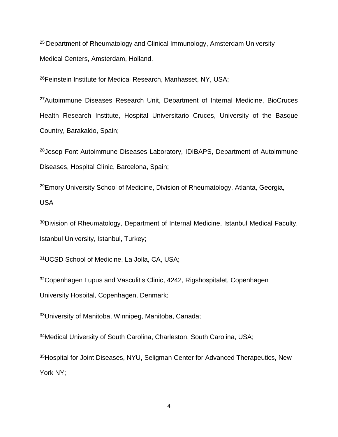<sup>25</sup> Department of Rheumatology and Clinical Immunology, Amsterdam University Medical Centers, Amsterdam, Holland.

<sup>26</sup>Feinstein Institute for Medical Research, Manhasset, NY, USA;

<sup>27</sup>Autoimmune Diseases Research Unit, Department of Internal Medicine, BioCruces Health Research Institute, Hospital Universitario Cruces, University of the Basque Country, Barakaldo, Spain;

<sup>28</sup>Josep Font Autoimmune Diseases Laboratory, IDIBAPS, Department of Autoimmune Diseases, Hospital Clínic, Barcelona, Spain;

<sup>29</sup>Emory University School of Medicine, Division of Rheumatology, Atlanta, Georgia, USA

<sup>30</sup>Division of Rheumatology, Department of Internal Medicine, Istanbul Medical Faculty, Istanbul University, Istanbul, Turkey;

<sup>31</sup>UCSD School of Medicine, La Jolla, CA, USA;

<sup>32</sup>Copenhagen Lupus and Vasculitis Clinic, 4242, Rigshospitalet, Copenhagen University Hospital, Copenhagen, Denmark;

<sup>33</sup>University of Manitoba, Winnipeg, Manitoba, Canada;

<sup>34</sup>Medical University of South Carolina, Charleston, South Carolina, USA;

35Hospital for Joint Diseases, NYU, Seligman Center for Advanced Therapeutics, New York NY;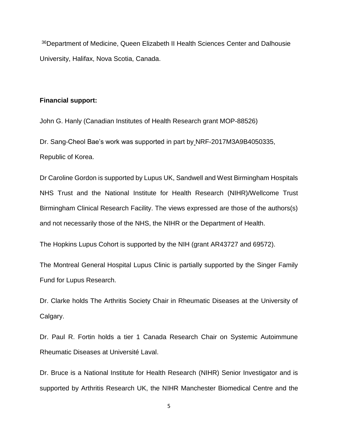<sup>36</sup>Department of Medicine, Queen Elizabeth II Health Sciences Center and Dalhousie University, Halifax, Nova Scotia, Canada.

## **Financial support:**

John G. Hanly (Canadian Institutes of Health Research grant MOP-88526)

Dr. Sang-Cheol Bae's work was supported in part by NRF-2017M3A9B4050335, Republic of Korea.

Dr Caroline Gordon is supported by Lupus UK, Sandwell and West Birmingham Hospitals NHS Trust and the National Institute for Health Research (NIHR)/Wellcome Trust Birmingham Clinical Research Facility. The views expressed are those of the authors(s) and not necessarily those of the NHS, the NIHR or the Department of Health.

The Hopkins Lupus Cohort is supported by the NIH (grant AR43727 and 69572).

The Montreal General Hospital Lupus Clinic is partially supported by the Singer Family Fund for Lupus Research.

Dr. Clarke holds The Arthritis Society Chair in Rheumatic Diseases at the University of Calgary.

Dr. Paul R. Fortin holds a tier 1 Canada Research Chair on Systemic Autoimmune Rheumatic Diseases at Université Laval.

Dr. Bruce is a National Institute for Health Research (NIHR) Senior Investigator and is supported by Arthritis Research UK, the NIHR Manchester Biomedical Centre and the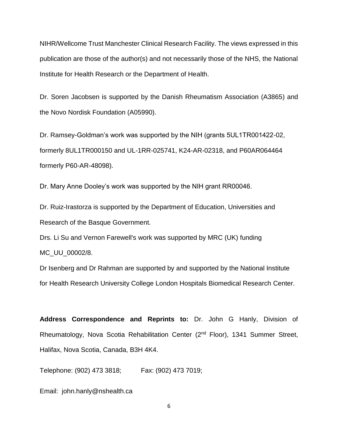NIHR/Wellcome Trust Manchester Clinical Research Facility. The views expressed in this publication are those of the author(s) and not necessarily those of the NHS, the National Institute for Health Research or the Department of Health.

Dr. Soren Jacobsen is supported by the Danish Rheumatism Association (A3865) and the Novo Nordisk Foundation (A05990).

Dr. Ramsey-Goldman's work was supported by the NIH (grants 5UL1TR001422-02, formerly 8UL1TR000150 and UL-1RR-025741, K24-AR-02318, and P60AR064464 formerly P60-AR-48098).

Dr. Mary Anne Dooley's work was supported by the NIH grant RR00046.

Dr. Ruiz-Irastorza is supported by the Department of Education, Universities and Research of the Basque Government.

Drs. Li Su and Vernon Farewell's work was supported by MRC (UK) funding MC\_UU\_00002/8.

Dr Isenberg and Dr Rahman are supported by and supported by the National Institute for Health Research University College London Hospitals Biomedical Research Center.

**Address Correspondence and Reprints to:** Dr. John G Hanly, Division of Rheumatology, Nova Scotia Rehabilitation Center (2nd Floor), 1341 Summer Street, Halifax, Nova Scotia, Canada, B3H 4K4.

Telephone: (902) 473 3818; Fax: (902) 473 7019;

Email: john.hanly@nshealth.ca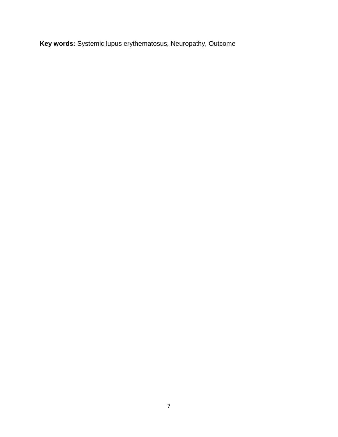**Key words:** Systemic lupus erythematosus, Neuropathy, Outcome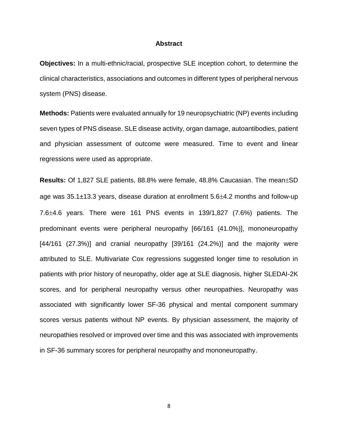#### **Abstract**

**Objectives:** In a multi-ethnic/racial, prospective SLE inception cohort, to determine the clinical characteristics, associations and outcomes in different types of peripheral nervous system (PNS) disease.

**Methods:** Patients were evaluated annually for 19 neuropsychiatric (NP) events including seven types of PNS disease. SLE disease activity, organ damage, autoantibodies, patient and physician assessment of outcome were measured. Time to event and linear regressions were used as appropriate.

**Results:** Of 1,827 SLE patients, 88.8% were female, 48.8% Caucasian. The mean $\pm$ SD age was  $35.1\pm13.3$  years, disease duration at enrollment  $5.6\pm4.2$  months and follow-up 7.6 $\pm$ 4.6 years. There were 161 PNS events in 139/1,827 (7.6%) patients. The predominant events were peripheral neuropathy [66/161 (41.0%)], mononeuropathy  $[44/161 (27.3%)]$  and cranial neuropathy  $[39/161 (24.2%)]$  and the majority were attributed to SLE. Multivariate Cox regressions suggested longer time to resolution in patients with prior history of neuropathy, older age at SLE diagnosis, higher SLEDAI-2K scores, and for peripheral neuropathy versus other neuropathies. Neuropathy was associated with significantly lower SF-36 physical and mental component summary scores versus patients without NP events. By physician assessment, the majority of neuropathies resolved or improved over time and this was associated with improvements in SF-36 summary scores for peripheral neuropathy and mononeuropathy.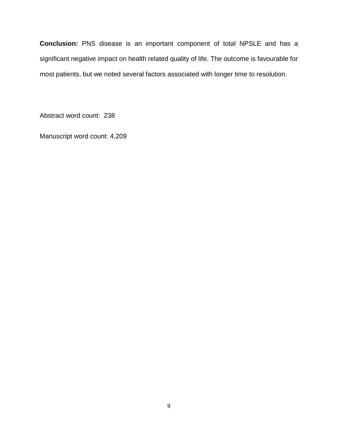**Conclusion:** PNS disease is an important component of total NPSLE and has a significant negative impact on health related quality of life. The outcome is favourable for most patients, but we noted several factors associated with longer time to resolution.

Abstract word count: 238

Manuscript word count: 4,209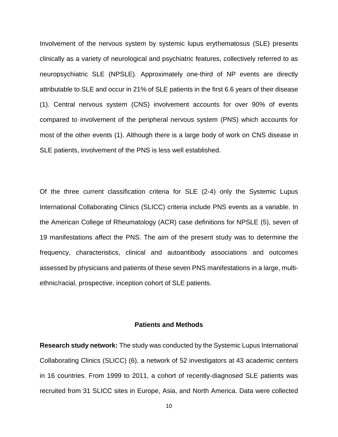Involvement of the nervous system by systemic lupus erythematosus (SLE) presents clinically as a variety of neurological and psychiatric features, collectively referred to as neuropsychiatric SLE (NPSLE). Approximately one-third of NP events are directly attributable to SLE and occur in 21% of SLE patients in the first 6.6 years of their disease [\(1\)](#page-26-0). Central nervous system (CNS) involvement accounts for over 90% of events compared to involvement of the peripheral nervous system (PNS) which accounts for most of the other events [\(1\)](#page-26-0). Although there is a large body of work on CNS disease in SLE patients, involvement of the PNS is less well established.

Of the three current classification criteria for SLE [\(2-4\)](#page-26-1) only the Systemic Lupus International Collaborating Clinics (SLICC) criteria include PNS events as a variable. In the American College of Rheumatology (ACR) case definitions for NPSLE [\(5\)](#page-26-2), seven of 19 manifestations affect the PNS. The aim of the present study was to determine the frequency, characteristics, clinical and autoantibody associations and outcomes assessed by physicians and patients of these seven PNS manifestations in a large, multiethnic/racial, prospective, inception cohort of SLE patients.

## **Patients and Methods**

**Research study network:** The study was conducted by the Systemic Lupus International Collaborating Clinics (SLICC) [\(6\)](#page-26-3), a network of 52 investigators at 43 academic centers in 16 countries. From 1999 to 2011, a cohort of recently-diagnosed SLE patients was recruited from 31 SLICC sites in Europe, Asia, and North America. Data were collected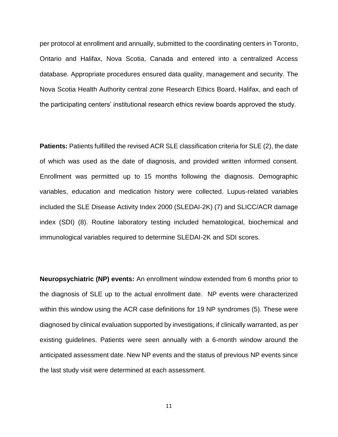per protocol at enrollment and annually, submitted to the coordinating centers in Toronto, Ontario and Halifax, Nova Scotia, Canada and entered into a centralized Access database. Appropriate procedures ensured data quality, management and security. The Nova Scotia Health Authority central zone Research Ethics Board, Halifax, and each of the participating centers' institutional research ethics review boards approved the study.

**Patients:** Patients fulfilled the revised ACR SLE classification criteria for SLE [\(2\)](#page-26-1), the date of which was used as the date of diagnosis, and provided written informed consent. Enrollment was permitted up to 15 months following the diagnosis. Demographic variables, education and medication history were collected. Lupus-related variables included the SLE Disease Activity Index 2000 (SLEDAI-2K) [\(7\)](#page-26-4) and SLICC/ACR damage index (SDI) [\(8\)](#page-26-5). Routine laboratory testing included hematological, biochemical and immunological variables required to determine SLEDAI-2K and SDI scores.

**Neuropsychiatric (NP) events:** An enrollment window extended from 6 months prior to the diagnosis of SLE up to the actual enrollment date. NP events were characterized within this window using the ACR case definitions for 19 NP syndromes [\(5\)](#page-26-2). These were diagnosed by clinical evaluation supported by investigations, if clinically warranted, as per existing guidelines. Patients were seen annually with a 6-month window around the anticipated assessment date. New NP events and the status of previous NP events since the last study visit were determined at each assessment.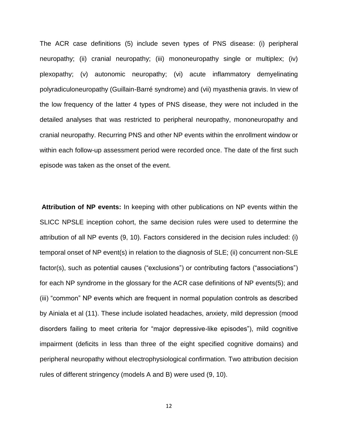The ACR case definitions [\(5\)](#page-26-2) include seven types of PNS disease: (i) peripheral neuropathy; (ii) cranial neuropathy; (iii) mononeuropathy single or multiplex; (iv) plexopathy; (v) autonomic neuropathy; (vi) acute inflammatory demyelinating polyradiculoneuropathy (Guillain-Barré syndrome) and (vii) myasthenia gravis. In view of the low frequency of the latter 4 types of PNS disease, they were not included in the detailed analyses that was restricted to peripheral neuropathy, mononeuropathy and cranial neuropathy. Recurring PNS and other NP events within the enrollment window or within each follow-up assessment period were recorded once. The date of the first such episode was taken as the onset of the event.

**Attribution of NP events:** In keeping with other publications on NP events within the SLICC NPSLE inception cohort, the same decision rules were used to determine the attribution of all NP events [\(9,](#page-26-6) [10\)](#page-26-7). Factors considered in the decision rules included: (i) temporal onset of NP event(s) in relation to the diagnosis of SLE; (ii) concurrent non-SLE factor(s), such as potential causes ("exclusions") or contributing factors ("associations") for each NP syndrome in the glossary for the ACR case definitions of NP events[\(5\)](#page-26-2); and (iii) "common" NP events which are frequent in normal population controls as described by Ainiala et al [\(11\)](#page-26-8). These include isolated headaches, anxiety, mild depression (mood disorders failing to meet criteria for "major depressive-like episodes"), mild cognitive impairment (deficits in less than three of the eight specified cognitive domains) and peripheral neuropathy without electrophysiological confirmation. Two attribution decision rules of different stringency (models A and B) were used [\(9,](#page-26-6) [10\)](#page-26-7).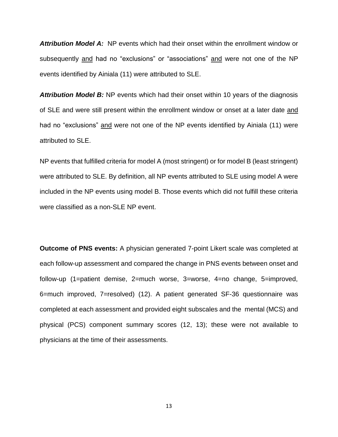*Attribution Model A:* NP events which had their onset within the enrollment window or subsequently and had no "exclusions" or "associations" and were not one of the NP events identified by Ainiala [\(11\)](#page-26-8) were attributed to SLE.

**Attribution Model B:** NP events which had their onset within 10 years of the diagnosis of SLE and were still present within the enrollment window or onset at a later date and had no "exclusions" and were not one of the NP events identified by Ainiala [\(11\)](#page-26-8) were attributed to SLE.

NP events that fulfilled criteria for model A (most stringent) or for model B (least stringent) were attributed to SLE. By definition, all NP events attributed to SLE using model A were included in the NP events using model B. Those events which did not fulfill these criteria were classified as a non-SLE NP event.

**Outcome of PNS events:** A physician generated 7-point Likert scale was completed at each follow-up assessment and compared the change in PNS events between onset and follow-up (1=patient demise, 2=much worse, 3=worse, 4=no change, 5=improved, 6=much improved, 7=resolved) [\(12\)](#page-26-9). A patient generated SF-36 questionnaire was completed at each assessment and provided eight subscales and the mental (MCS) and physical (PCS) component summary scores [\(12,](#page-26-9) [13\)](#page-26-10); these were not available to physicians at the time of their assessments.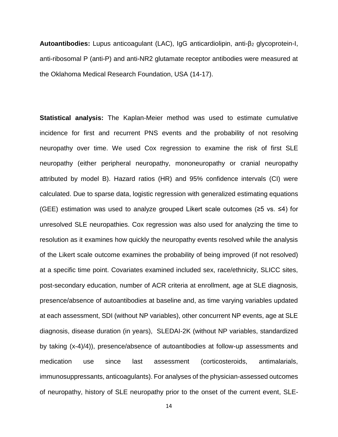**Autoantibodies:** Lupus anticoagulant (LAC), IgG anticardiolipin, anti-β<sup>2</sup> glycoprotein-I, anti-ribosomal P (anti-P) and anti-NR2 glutamate receptor antibodies were measured at the Oklahoma Medical Research Foundation, USA [\(14-17\)](#page-26-11).

**Statistical analysis:** The Kaplan-Meier method was used to estimate cumulative incidence for first and recurrent PNS events and the probability of not resolving neuropathy over time. We used Cox regression to examine the risk of first SLE neuropathy (either peripheral neuropathy, mononeuropathy or cranial neuropathy attributed by model B). Hazard ratios (HR) and 95% confidence intervals (CI) were calculated. Due to sparse data, logistic regression with generalized estimating equations (GEE) estimation was used to analyze grouped Likert scale outcomes (≥5 vs. ≤4) for unresolved SLE neuropathies. Cox regression was also used for analyzing the time to resolution as it examines how quickly the neuropathy events resolved while the analysis of the Likert scale outcome examines the probability of being improved (if not resolved) at a specific time point. Covariates examined included sex, race/ethnicity, SLICC sites, post-secondary education, number of ACR criteria at enrollment, age at SLE diagnosis, presence/absence of autoantibodies at baseline and, as time varying variables updated at each assessment, SDI (without NP variables), other concurrent NP events, age at SLE diagnosis, disease duration (in years), SLEDAI-2K (without NP variables, standardized by taking (x-4)/4)), presence/absence of autoantibodies at follow-up assessments and medication use since last assessment (corticosteroids, antimalarials, immunosuppressants, anticoagulants). For analyses of the physician-assessed outcomes of neuropathy, history of SLE neuropathy prior to the onset of the current event, SLE-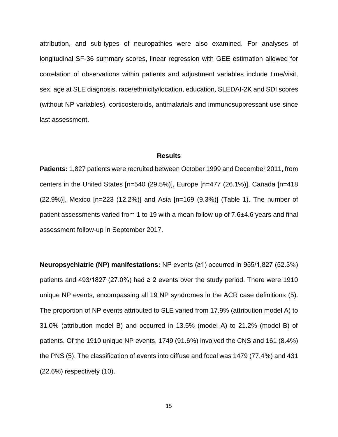attribution, and sub-types of neuropathies were also examined. For analyses of longitudinal SF-36 summary scores, linear regression with GEE estimation allowed for correlation of observations within patients and adjustment variables include time/visit, sex, age at SLE diagnosis, race/ethnicity/location, education, SLEDAI-2K and SDI scores (without NP variables), corticosteroids, antimalarials and immunosuppressant use since last assessment.

### **Results**

**Patients:** 1,827 patients were recruited between October 1999 and December 2011, from centers in the United States [n=540 (29.5%)], Europe [n=477 (26.1%)], Canada [n=418 (22.9%)], Mexico [n=223 (12.2%)] and Asia [n=169 (9.3%)] (Table 1). The number of patient assessments varied from 1 to 19 with a mean follow-up of 7.6±4.6 years and final assessment follow-up in September 2017.

**Neuropsychiatric (NP) manifestations:** NP events (≥1) occurred in 955/1,827 (52.3%) patients and 493/1827 (27.0%) had  $\geq$  2 events over the study period. There were 1910 unique NP events, encompassing all 19 NP syndromes in the ACR case definitions [\(5\)](#page-26-2). The proportion of NP events attributed to SLE varied from 17.9% (attribution model A) to 31.0% (attribution model B) and occurred in 13.5% (model A) to 21.2% (model B) of patients. Of the 1910 unique NP events, 1749 (91.6%) involved the CNS and 161 (8.4%) the PNS [\(5\)](#page-26-2). The classification of events into diffuse and focal was 1479 (77.4%) and 431 (22.6%) respectively [\(10\)](#page-26-7).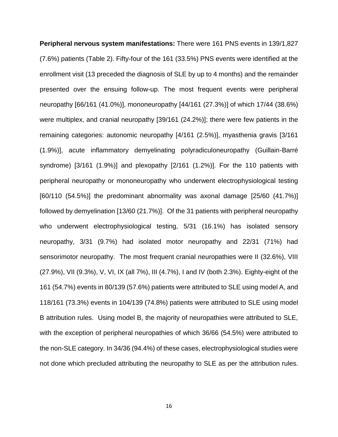**Peripheral nervous system manifestations:** There were 161 PNS events in 139/1,827 (7.6%) patients (Table 2). Fifty-four of the 161 (33.5%) PNS events were identified at the enrollment visit (13 preceded the diagnosis of SLE by up to 4 months) and the remainder presented over the ensuing follow-up. The most frequent events were peripheral neuropathy [66/161 (41.0%)], mononeuropathy [44/161 (27.3%)] of which 17/44 (38.6%) were multiplex, and cranial neuropathy [39/161 (24.2%)]; there were few patients in the remaining categories: autonomic neuropathy [4/161 (2.5%)], myasthenia gravis [3/161 (1.9%)], acute inflammatory demyelinating polyradiculoneuropathy (Guillain-Barré syndrome) [3/161 (1.9%)] and plexopathy [2/161 (1.2%)]. For the 110 patients with peripheral neuropathy or mononeuropathy who underwent electrophysiological testing [60/110 (54.5%)] the predominant abnormality was axonal damage [25/60 (41.7%)] followed by demyelination [13/60 (21.7%)]. Of the 31 patients with peripheral neuropathy who underwent electrophysiological testing, 5/31 (16.1%) has isolated sensory neuropathy, 3/31 (9.7%) had isolated motor neuropathy and 22/31 (71%) had sensorimotor neuropathy. The most frequent cranial neuropathies were II (32.6%), VIII (27.9%), VII (9.3%), V, VI, IX (all 7%), III (4.7%), I and IV (both 2.3%). Eighty-eight of the 161 (54.7%) events in 80/139 (57.6%) patients were attributed to SLE using model A, and 118/161 (73.3%) events in 104/139 (74.8%) patients were attributed to SLE using model B attribution rules. Using model B, the majority of neuropathies were attributed to SLE, with the exception of peripheral neuropathies of which 36/66 (54.5%) were attributed to the non-SLE category. In 34/36 (94.4%) of these cases, electrophysiological studies were not done which precluded attributing the neuropathy to SLE as per the attribution rules.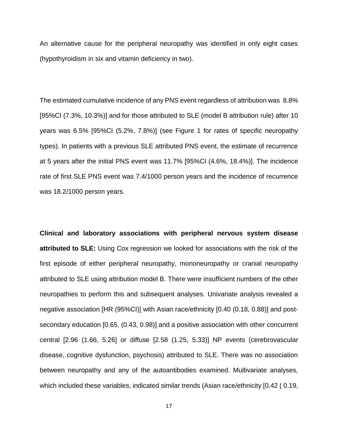An alternative cause for the peripheral neuropathy was identified in only eight cases (hypothyroidism in six and vitamin deficiency in two).

The estimated cumulative incidence of any PNS event regardless of attribution was 8.8% [95%CI (7.3%, 10.3%)] and for those attributed to SLE (model B attribution rule) after 10 years was 6.5% [95%CI (5.2%, 7.8%)] (see Figure 1 for rates of specific neuropathy types). In patients with a previous SLE attributed PNS event, the estimate of recurrence at 5 years after the initial PNS event was 11.7% [95%CI (4.6%, 18.4%)]. The incidence rate of first SLE PNS event was 7.4/1000 person years and the incidence of recurrence was 18.2/1000 person years.

**Clinical and laboratory associations with peripheral nervous system disease attributed to SLE:** Using Cox regression we looked for associations with the risk of the first episode of either peripheral neuropathy, mononeuropathy or cranial neuropathy attributed to SLE using attribution model B. There were insufficient numbers of the other neuropathies to perform this and subsequent analyses. Univariate analysis revealed a negative association [HR (95%CI)] with Asian race/ethnicity [0.40 (0.18, 0.88)] and postsecondary education [0.65, (0.43, 0.98)] and a positive association with other concurrent central [2.96 (1.66, 5.26] or diffuse [2.58 (1.25, 5.33)] NP events (cerebrovascular disease, cognitive dysfunction, psychosis) attributed to SLE. There was no association between neuropathy and any of the autoantibodies examined. Multivariate analyses, which included these variables, indicated similar trends (Asian race/ethnicity [0.42 ( 0.19,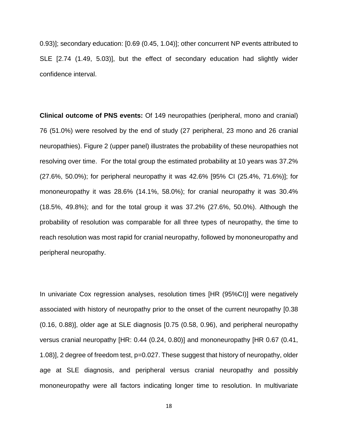0.93)]; secondary education: [0.69 (0.45, 1.04)]; other concurrent NP events attributed to SLE [2.74 (1.49, 5.03)], but the effect of secondary education had slightly wider confidence interval.

**Clinical outcome of PNS events:** Of 149 neuropathies (peripheral, mono and cranial) 76 (51.0%) were resolved by the end of study (27 peripheral, 23 mono and 26 cranial neuropathies). Figure 2 (upper panel) illustrates the probability of these neuropathies not resolving over time. For the total group the estimated probability at 10 years was 37.2% (27.6%, 50.0%); for peripheral neuropathy it was 42.6% [95% CI (25.4%, 71.6%)]; for mononeuropathy it was 28.6% (14.1%, 58.0%); for cranial neuropathy it was 30.4% (18.5%, 49.8%); and for the total group it was 37.2% (27.6%, 50.0%). Although the probability of resolution was comparable for all three types of neuropathy, the time to reach resolution was most rapid for cranial neuropathy, followed by mononeuropathy and peripheral neuropathy.

In univariate Cox regression analyses, resolution times [HR (95%CI)] were negatively associated with history of neuropathy prior to the onset of the current neuropathy [0.38 (0.16, 0.88)], older age at SLE diagnosis [0.75 (0.58, 0.96), and peripheral neuropathy versus cranial neuropathy [HR: 0.44 (0.24, 0.80)] and mononeuropathy [HR 0.67 (0.41, 1.08)], 2 degree of freedom test, p=0.027. These suggest that history of neuropathy, older age at SLE diagnosis, and peripheral versus cranial neuropathy and possibly mononeuropathy were all factors indicating longer time to resolution. In multivariate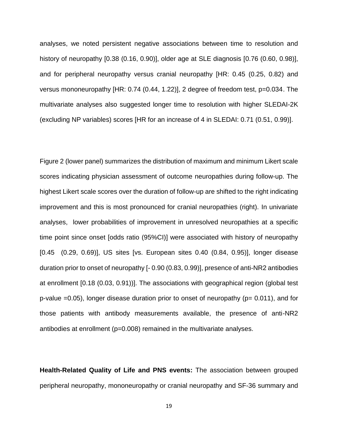analyses, we noted persistent negative associations between time to resolution and history of neuropathy [0.38 (0.16, 0.90)], older age at SLE diagnosis [0.76 (0.60, 0.98)], and for peripheral neuropathy versus cranial neuropathy [HR: 0.45 (0.25, 0.82) and versus mononeuropathy [HR: 0.74 (0.44, 1.22)], 2 degree of freedom test, p=0.034. The multivariate analyses also suggested longer time to resolution with higher SLEDAI-2K (excluding NP variables) scores [HR for an increase of 4 in SLEDAI: 0.71 (0.51, 0.99)].

Figure 2 (lower panel) summarizes the distribution of maximum and minimum Likert scale scores indicating physician assessment of outcome neuropathies during follow-up. The highest Likert scale scores over the duration of follow-up are shifted to the right indicating improvement and this is most pronounced for cranial neuropathies (right). In univariate analyses, lower probabilities of improvement in unresolved neuropathies at a specific time point since onset [odds ratio (95%CI)] were associated with history of neuropathy [0.45 (0.29, 0.69)], US sites [vs. European sites 0.40 (0.84, 0.95)], longer disease duration prior to onset of neuropathy [- 0.90 (0.83, 0.99)], presence of anti-NR2 antibodies at enrollment [0.18 (0.03, 0.91))]. The associations with geographical region (global test p-value  $=0.05$ ), longer disease duration prior to onset of neuropathy ( $p= 0.011$ ), and for those patients with antibody measurements available, the presence of anti-NR2 antibodies at enrollment (p=0.008) remained in the multivariate analyses.

**Health-Related Quality of Life and PNS events:** The association between grouped peripheral neuropathy, mononeuropathy or cranial neuropathy and SF-36 summary and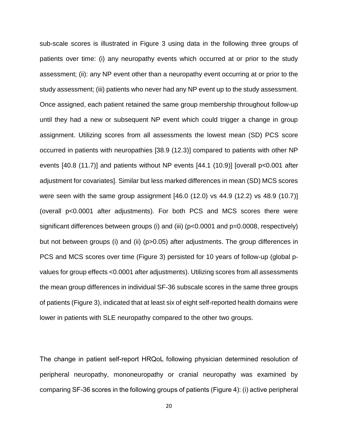sub-scale scores is illustrated in Figure 3 using data in the following three groups of patients over time: (i) any neuropathy events which occurred at or prior to the study assessment; (ii): any NP event other than a neuropathy event occurring at or prior to the study assessment; (iii) patients who never had any NP event up to the study assessment. Once assigned, each patient retained the same group membership throughout follow-up until they had a new or subsequent NP event which could trigger a change in group assignment. Utilizing scores from all assessments the lowest mean (SD) PCS score occurred in patients with neuropathies [38.9 (12.3)] compared to patients with other NP events [40.8 (11.7)] and patients without NP events [44.1 (10.9)] [overall p<0.001 after adjustment for covariates]. Similar but less marked differences in mean (SD) MCS scores were seen with the same group assignment [46.0 (12.0) vs 44.9 (12.2) vs 48.9 (10.7)] (overall p<0.0001 after adjustments). For both PCS and MCS scores there were significant differences between groups (i) and (iii) (p<0.0001 and p=0.0008, respectively) but not between groups (i) and (ii) (p>0.05) after adjustments. The group differences in PCS and MCS scores over time (Figure 3) persisted for 10 years of follow-up (global pvalues for group effects <0.0001 after adjustments). Utilizing scores from all assessments the mean group differences in individual SF-36 subscale scores in the same three groups of patients (Figure 3), indicated that at least six of eight self-reported health domains were lower in patients with SLE neuropathy compared to the other two groups.

The change in patient self-report HRQoL following physician determined resolution of peripheral neuropathy, mononeuropathy or cranial neuropathy was examined by comparing SF-36 scores in the following groups of patients (Figure 4): (i) active peripheral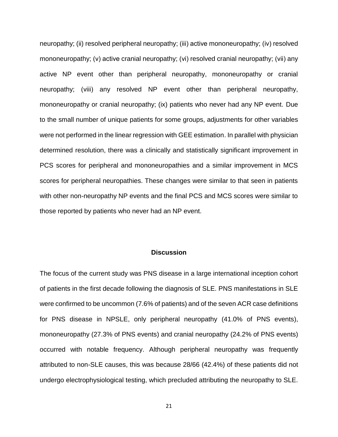neuropathy; (ii) resolved peripheral neuropathy; (iii) active mononeuropathy; (iv) resolved mononeuropathy; (v) active cranial neuropathy; (vi) resolved cranial neuropathy; (vii) any active NP event other than peripheral neuropathy, mononeuropathy or cranial neuropathy; (viii) any resolved NP event other than peripheral neuropathy, mononeuropathy or cranial neuropathy; (ix) patients who never had any NP event. Due to the small number of unique patients for some groups, adjustments for other variables were not performed in the linear regression with GEE estimation. In parallel with physician determined resolution, there was a clinically and statistically significant improvement in PCS scores for peripheral and mononeuropathies and a similar improvement in MCS scores for peripheral neuropathies. These changes were similar to that seen in patients with other non-neuropathy NP events and the final PCS and MCS scores were similar to those reported by patients who never had an NP event.

### **Discussion**

The focus of the current study was PNS disease in a large international inception cohort of patients in the first decade following the diagnosis of SLE. PNS manifestations in SLE were confirmed to be uncommon (7.6% of patients) and of the seven ACR case definitions for PNS disease in NPSLE, only peripheral neuropathy (41.0% of PNS events), mononeuropathy (27.3% of PNS events) and cranial neuropathy (24.2% of PNS events) occurred with notable frequency. Although peripheral neuropathy was frequently attributed to non-SLE causes, this was because 28/66 (42.4%) of these patients did not undergo electrophysiological testing, which precluded attributing the neuropathy to SLE.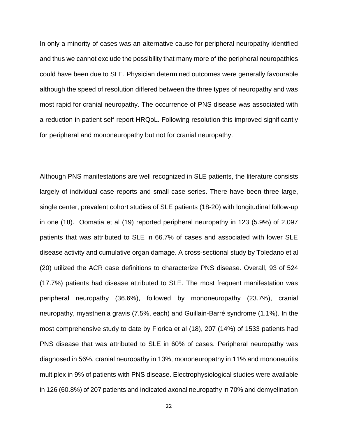In only a minority of cases was an alternative cause for peripheral neuropathy identified and thus we cannot exclude the possibility that many more of the peripheral neuropathies could have been due to SLE. Physician determined outcomes were generally favourable although the speed of resolution differed between the three types of neuropathy and was most rapid for cranial neuropathy. The occurrence of PNS disease was associated with a reduction in patient self-report HRQoL. Following resolution this improved significantly for peripheral and mononeuropathy but not for cranial neuropathy.

Although PNS manifestations are well recognized in SLE patients, the literature consists largely of individual case reports and small case series. There have been three large, single center, prevalent cohort studies of SLE patients [\(18-20\)](#page-27-0) with longitudinal follow-up in one [\(18\)](#page-27-0). Oomatia et al [\(19\)](#page-27-1) reported peripheral neuropathy in 123 (5.9%) of 2,097 patients that was attributed to SLE in 66.7% of cases and associated with lower SLE disease activity and cumulative organ damage. A cross-sectional study by Toledano et al [\(20\)](#page-27-2) utilized the ACR case definitions to characterize PNS disease. Overall, 93 of 524 (17.7%) patients had disease attributed to SLE. The most frequent manifestation was peripheral neuropathy (36.6%), followed by mononeuropathy (23.7%), cranial neuropathy, myasthenia gravis (7.5%, each) and Guillain-Barré syndrome (1.1%). In the most comprehensive study to date by Florica et al [\(18\)](#page-27-0), 207 (14%) of 1533 patients had PNS disease that was attributed to SLE in 60% of cases. Peripheral neuropathy was diagnosed in 56%, cranial neuropathy in 13%, mononeuropathy in 11% and mononeuritis multiplex in 9% of patients with PNS disease. Electrophysiological studies were available in 126 (60.8%) of 207 patients and indicated axonal neuropathy in 70% and demyelination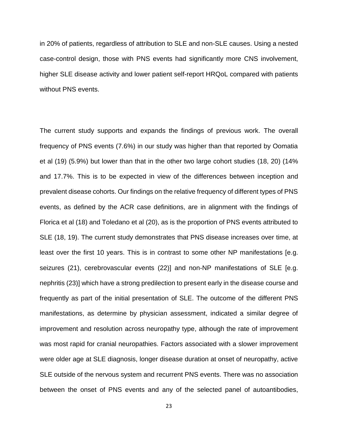in 20% of patients, regardless of attribution to SLE and non-SLE causes. Using a nested case-control design, those with PNS events had significantly more CNS involvement, higher SLE disease activity and lower patient self-report HRQoL compared with patients without PNS events.

The current study supports and expands the findings of previous work. The overall frequency of PNS events (7.6%) in our study was higher than that reported by Oomatia et al [\(19\)](#page-27-1) (5.9%) but lower than that in the other two large cohort studies [\(18,](#page-27-0) [20\)](#page-27-2) (14% and 17.7%. This is to be expected in view of the differences between inception and prevalent disease cohorts. Our findings on the relative frequency of different types of PNS events, as defined by the ACR case definitions, are in alignment with the findings of Florica et al [\(18\)](#page-27-0) and Toledano et al [\(20\)](#page-27-2), as is the proportion of PNS events attributed to SLE [\(18,](#page-27-0) [19\)](#page-27-1). The current study demonstrates that PNS disease increases over time, at least over the first 10 years. This is in contrast to some other NP manifestations [e.g. seizures [\(21\)](#page-27-3), cerebrovascular events [\(22\)](#page-27-4)] and non-NP manifestations of SLE [e.g. nephritis [\(23\)](#page-27-5)] which have a strong predilection to present early in the disease course and frequently as part of the initial presentation of SLE. The outcome of the different PNS manifestations, as determine by physician assessment, indicated a similar degree of improvement and resolution across neuropathy type, although the rate of improvement was most rapid for cranial neuropathies. Factors associated with a slower improvement were older age at SLE diagnosis, longer disease duration at onset of neuropathy, active SLE outside of the nervous system and recurrent PNS events. There was no association between the onset of PNS events and any of the selected panel of autoantibodies,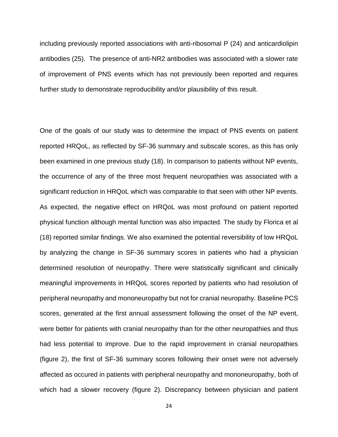including previously reported associations with anti-ribosomal P [\(24\)](#page-27-6) and anticardiolipin antibodies [\(25\)](#page-27-7). The presence of anti-NR2 antibodies was associated with a slower rate of improvement of PNS events which has not previously been reported and requires further study to demonstrate reproducibility and/or plausibility of this result.

One of the goals of our study was to determine the impact of PNS events on patient reported HRQoL, as reflected by SF-36 summary and subscale scores, as this has only been examined in one previous study [\(18\)](#page-27-0). In comparison to patients without NP events, the occurrence of any of the three most frequent neuropathies was associated with a significant reduction in HRQoL which was comparable to that seen with other NP events. As expected, the negative effect on HRQoL was most profound on patient reported physical function although mental function was also impacted. The study by Florica et al [\(18\)](#page-27-0) reported similar findings. We also examined the potential reversibility of low HRQoL by analyzing the change in SF-36 summary scores in patients who had a physician determined resolution of neuropathy. There were statistically significant and clinically meaningful improvements in HRQoL scores reported by patients who had resolution of peripheral neuropathy and mononeuropathy but not for cranial neuropathy. Baseline PCS scores, generated at the first annual assessment following the onset of the NP event, were better for patients with cranial neuropathy than for the other neuropathies and thus had less potential to improve. Due to the rapid improvement in cranial neuropathies (figure 2), the first of SF-36 summary scores following their onset were not adversely affected as occured in patients with peripheral neuropathy and mononeuropathy, both of which had a slower recovery (figure 2). Discrepancy between physician and patient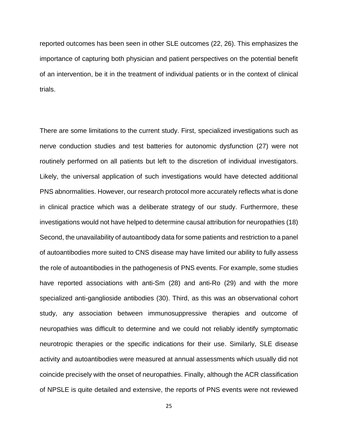reported outcomes has been seen in other SLE outcomes [\(22,](#page-27-4) [26\)](#page-27-8). This emphasizes the importance of capturing both physician and patient perspectives on the potential benefit of an intervention, be it in the treatment of individual patients or in the context of clinical trials.

There are some limitations to the current study. First, specialized investigations such as nerve conduction studies and test batteries for autonomic dysfunction [\(27\)](#page-27-9) were not routinely performed on all patients but left to the discretion of individual investigators. Likely, the universal application of such investigations would have detected additional PNS abnormalities. However, our research protocol more accurately reflects what is done in clinical practice which was a deliberate strategy of our study. Furthermore, these investigations would not have helped to determine causal attribution for neuropathies [\(18\)](#page-27-0) Second, the unavailability of autoantibody data for some patients and restriction to a panel of autoantibodies more suited to CNS disease may have limited our ability to fully assess the role of autoantibodies in the pathogenesis of PNS events. For example, some studies have reported associations with anti-Sm [\(28\)](#page-27-10) and anti-Ro [\(29\)](#page-27-11) and with the more specialized anti-ganglioside antibodies [\(30\)](#page-27-12). Third, as this was an observational cohort study, any association between immunosuppressive therapies and outcome of neuropathies was difficult to determine and we could not reliably identify symptomatic neurotropic therapies or the specific indications for their use. Similarly, SLE disease activity and autoantibodies were measured at annual assessments which usually did not coincide precisely with the onset of neuropathies. Finally, although the ACR classification of NPSLE is quite detailed and extensive, the reports of PNS events were not reviewed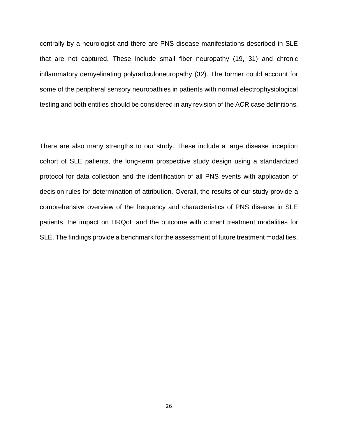centrally by a neurologist and there are PNS disease manifestations described in SLE that are not captured. These include small fiber neuropathy [\(19,](#page-27-1) [31\)](#page-27-13) and chronic inflammatory demyelinating polyradiculoneuropathy [\(32\)](#page-27-14). The former could account for some of the peripheral sensory neuropathies in patients with normal electrophysiological testing and both entities should be considered in any revision of the ACR case definitions.

There are also many strengths to our study. These include a large disease inception cohort of SLE patients, the long-term prospective study design using a standardized protocol for data collection and the identification of all PNS events with application of decision rules for determination of attribution. Overall, the results of our study provide a comprehensive overview of the frequency and characteristics of PNS disease in SLE patients, the impact on HRQoL and the outcome with current treatment modalities for SLE. The findings provide a benchmark for the assessment of future treatment modalities.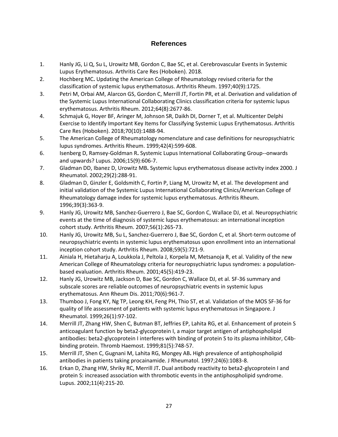## **References**

- <span id="page-26-0"></span>1. Hanly JG, Li Q, Su L, Urowitz MB, Gordon C, Bae SC, et al. Cerebrovascular Events in Systemic Lupus Erythematosus. Arthritis Care Res (Hoboken). 2018.
- <span id="page-26-1"></span>2. Hochberg MC**.** Updating the American College of Rheumatology revised criteria for the classification of systemic lupus erythematosus. Arthritis Rheum. 1997;40(9):1725.
- 3. Petri M, Orbai AM, Alarcon GS, Gordon C, Merrill JT, Fortin PR, et al. Derivation and validation of the Systemic Lupus International Collaborating Clinics classification criteria for systemic lupus erythematosus. Arthritis Rheum. 2012;64(8):2677-86.
- 4. Schmajuk G, Hoyer BF, Aringer M, Johnson SR, Daikh DI, Dorner T, et al. Multicenter Delphi Exercise to Identify Important Key Items for Classifying Systemic Lupus Erythematosus. Arthritis Care Res (Hoboken). 2018;70(10):1488-94.
- <span id="page-26-2"></span>5. The American College of Rheumatology nomenclature and case definitions for neuropsychiatric lupus syndromes. Arthritis Rheum. 1999;42(4):599-608.
- <span id="page-26-3"></span>6. Isenberg D, Ramsey-Goldman R**.** Systemic Lupus International Collaborating Group--onwards and upwards? Lupus. 2006;15(9):606-7.
- <span id="page-26-4"></span>7. Gladman DD, Ibanez D, Urowitz MB**.** Systemic lupus erythematosus disease activity index 2000. J Rheumatol. 2002;29(2):288-91.
- <span id="page-26-5"></span>8. Gladman D, Ginzler E, Goldsmith C, Fortin P, Liang M, Urowitz M, et al. The development and initial validation of the Systemic Lupus International Collaborating Clinics/American College of Rheumatology damage index for systemic lupus erythematosus. Arthritis Rheum. 1996;39(3):363-9.
- <span id="page-26-6"></span>9. Hanly JG, Urowitz MB, Sanchez-Guerrero J, Bae SC, Gordon C, Wallace DJ, et al. Neuropsychiatric events at the time of diagnosis of systemic lupus erythematosus: an international inception cohort study. Arthritis Rheum. 2007;56(1):265-73.
- <span id="page-26-7"></span>10. Hanly JG, Urowitz MB, Su L, Sanchez-Guerrero J, Bae SC, Gordon C, et al. Short-term outcome of neuropsychiatric events in systemic lupus erythematosus upon enrollment into an international inception cohort study. Arthritis Rheum. 2008;59(5):721-9.
- <span id="page-26-8"></span>11. Ainiala H, Hietaharju A, Loukkola J, Peltola J, Korpela M, Metsanoja R, et al. Validity of the new American College of Rheumatology criteria for neuropsychiatric lupus syndromes: a populationbased evaluation. Arthritis Rheum. 2001;45(5):419-23.
- <span id="page-26-9"></span>12. Hanly JG, Urowitz MB, Jackson D, Bae SC, Gordon C, Wallace DJ, et al. SF-36 summary and subscale scores are reliable outcomes of neuropsychiatric events in systemic lupus erythematosus. Ann Rheum Dis. 2011;70(6):961-7.
- <span id="page-26-10"></span>13. Thumboo J, Fong KY, Ng TP, Leong KH, Feng PH, Thio ST, et al. Validation of the MOS SF-36 for quality of life assessment of patients with systemic lupus erythematosus in Singapore. J Rheumatol. 1999;26(1):97-102.
- <span id="page-26-11"></span>14. Merrill JT, Zhang HW, Shen C, Butman BT, Jeffries EP, Lahita RG, et al. Enhancement of protein S anticoagulant function by beta2-glycoprotein I, a major target antigen of antiphospholipid antibodies: beta2-glycoprotein I interferes with binding of protein S to its plasma inhibitor, C4bbinding protein. Thromb Haemost. 1999;81(5):748-57.
- 15. Merrill JT, Shen C, Gugnani M, Lahita RG, Mongey AB**.** High prevalence of antiphospholipid antibodies in patients taking procainamide. J Rheumatol. 1997;24(6):1083-8.
- 16. Erkan D, Zhang HW, Shriky RC, Merrill JT**.** Dual antibody reactivity to beta2-glycoprotein I and protein S: increased association with thrombotic events in the antiphospholipid syndrome. Lupus. 2002;11(4):215-20.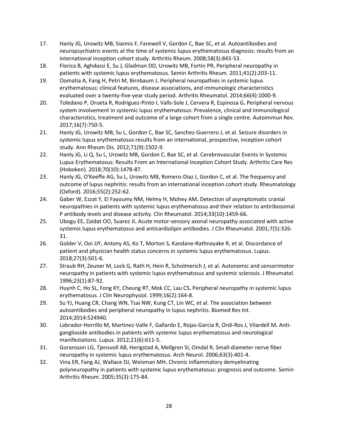- 17. Hanly JG, Urowitz MB, Siannis F, Farewell V, Gordon C, Bae SC, et al. Autoantibodies and neuropsychiatric events at the time of systemic lupus erythematosus diagnosis: results from an international inception cohort study. Arthritis Rheum. 2008;58(3):843-53.
- <span id="page-27-0"></span>18. Florica B, Aghdassi E, Su J, Gladman DD, Urowitz MB, Fortin PR**.** Peripheral neuropathy in patients with systemic lupus erythematosus. Semin Arthritis Rheum. 2011;41(2):203-11.
- <span id="page-27-1"></span>19. Oomatia A, Fang H, Petri M, Birnbaum J**.** Peripheral neuropathies in systemic lupus erythematosus: clinical features, disease associations, and immunologic characteristics evaluated over a twenty-five-year study period. Arthritis Rheumatol. 2014;66(4):1000-9.
- <span id="page-27-2"></span>20. Toledano P, Orueta R, Rodriguez-Pinto I, Valls-Sole J, Cervera R, Espinosa G**.** Peripheral nervous system involvement in systemic lupus erythematosus: Prevalence, clinical and immunological characteristics, treatment and outcome of a large cohort from a single centre. Autoimmun Rev. 2017;16(7):750-5.
- <span id="page-27-3"></span>21. Hanly JG, Urowitz MB, Su L, Gordon C, Bae SC, Sanchez-Guerrero J, et al. Seizure disorders in systemic lupus erythematosus results from an international, prospective, inception cohort study. Ann Rheum Dis. 2012;71(9):1502-9.
- <span id="page-27-4"></span>22. Hanly JG, Li Q, Su L, Urowitz MB, Gordon C, Bae SC, et al. Cerebrovascular Events in Systemic Lupus Erythematosus: Results From an International Inception Cohort Study. Arthritis Care Res (Hoboken). 2018;70(10):1478-87.
- <span id="page-27-5"></span>23. Hanly JG, O'Keeffe AG, Su L, Urowitz MB, Romero-Diaz J, Gordon C, et al. The frequency and outcome of lupus nephritis: results from an international inception cohort study. Rheumatology (Oxford). 2016;55(2):252-62.
- <span id="page-27-6"></span>24. Gaber W, Ezzat Y, El Fayoumy NM, Helmy H, Mohey AM**.** Detection of asymptomatic cranial neuropathies in patients with systemic lupus erythematosus and their relation to antiribosomal P antibody levels and disease activity. Clin Rheumatol. 2014;33(10):1459-66.
- <span id="page-27-7"></span>25. Ubogu EE, Zaidat OO, Suarez JI**.** Acute motor-sensory axonal neuropathy associated with active systemic lupus erythematosus and anticardiolipin antibodies. J Clin Rheumatol. 2001;7(5):326- 31.
- <span id="page-27-8"></span>26. Golder V, Ooi JJY, Antony AS, Ko T, Morton S, Kandane-Rathnayake R, et al. Discordance of patient and physician health status concerns in systemic lupus erythematosus. Lupus. 2018;27(3):501-6.
- <span id="page-27-9"></span>27. Straub RH, Zeuner M, Lock G, Rath H, Hein R, Scholmerich J, et al. Autonomic and sensorimotor neuropathy in patients with systemic lupus erythematosus and systemic sclerosis. J Rheumatol. 1996;23(1):87-92.
- <span id="page-27-10"></span>28. Huynh C, Ho SL, Fong KY, Cheung RT, Mok CC, Lau CS**.** Peripheral neuropathy in systemic lupus erythematosus. J Clin Neurophysiol. 1999;16(2):164-8.
- <span id="page-27-11"></span>29. Su YJ, Huang CR, Chang WN, Tsai NW, Kung CT, Lin WC, et al. The association between autoantibodies and peripheral neuropathy in lupus nephritis. Biomed Res Int. 2014;2014:524940.
- <span id="page-27-12"></span>30. Labrador-Horrillo M, Martinez-Valle F, Gallardo E, Rojas-Garcia R, Ordi-Ros J, Vilardell M**.** Antiganglioside antibodies in patients with systemic lupus erythematosus and neurological manifestations. Lupus. 2012;21(6):611-5.
- <span id="page-27-13"></span>31. Goransson LG, Tjensvoll AB, Herigstad A, Mellgren SI, Omdal R**.** Small-diameter nerve fiber neuropathy in systemic lupus erythematosus. Arch Neurol. 2006;63(3):401-4.
- <span id="page-27-14"></span>32. Vina ER, Fang AJ, Wallace DJ, Weisman MH**.** Chronic inflammatory demyelinating polyneuropathy in patients with systemic lupus erythematosus: prognosis and outcome. Semin Arthritis Rheum. 2005;35(3):175-84.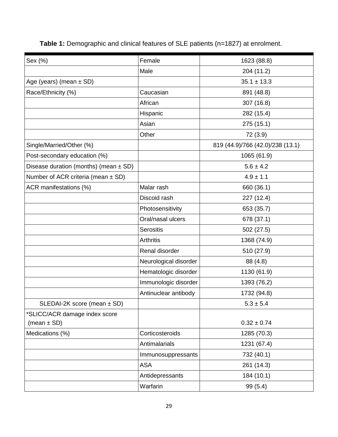| Sex (%)                                   | Female                | 1623 (88.8)                      |  |
|-------------------------------------------|-----------------------|----------------------------------|--|
|                                           | Male<br>204 (11.2)    |                                  |  |
| Age (years) (mean ± SD)                   |                       | $35.1 \pm 13.3$                  |  |
| Race/Ethnicity (%)                        | Caucasian             | 891 (48.8)                       |  |
|                                           | African               | 307(16.8)                        |  |
|                                           | Hispanic              | 282 (15.4)                       |  |
|                                           | Asian                 | 275(15.1)                        |  |
|                                           | Other                 | 72 (3.9)                         |  |
| Single/Married/Other (%)                  |                       | 819 (44.9)/766 (42.0)/238 (13.1) |  |
| Post-secondary education (%)              |                       | 1065 (61.9)                      |  |
| Disease duration (months) (mean $\pm$ SD) |                       | $5.6 \pm 4.2$                    |  |
| Number of ACR criteria (mean $\pm$ SD)    |                       | $4.9 \pm 1.1$                    |  |
| ACR manifestations (%)                    | Malar rash            | 660 (36.1)                       |  |
|                                           | Discoid rash          | 227 (12.4)                       |  |
|                                           | Photosensitivity      | 653 (35.7)                       |  |
|                                           | Oral/nasal ulcers     | 678 (37.1)                       |  |
|                                           | <b>Serositis</b>      | 502(27.5)                        |  |
|                                           | <b>Arthritis</b>      | 1368 (74.9)                      |  |
|                                           | Renal disorder        | 510 (27.9)                       |  |
|                                           | Neurological disorder | 88 (4.8)                         |  |
|                                           | Hematologic disorder  | 1130 (61.9)                      |  |
|                                           | Immunologic disorder  | 1393 (76.2)                      |  |
|                                           | Antinuclear antibody  | 1732 (94.8)                      |  |
| SLEDAI-2K score (mean $\pm$ SD)           |                       | $5.3 \pm 5.4$                    |  |
| *SLICC/ACR damage index score             |                       |                                  |  |
| (mean $\pm$ SD)                           |                       | $0.32 \pm 0.74$                  |  |
| Medications (%)                           | Corticosteroids       | 1285 (70.3)                      |  |
|                                           | Antimalarials         | 1231 (67.4)                      |  |
|                                           | Immunosuppressants    | 732 (40.1)                       |  |
|                                           | <b>ASA</b>            | 261 (14.3)                       |  |
|                                           | Antidepressants       | 184 (10.1)                       |  |
|                                           | Warfarin              | 99 (5.4)                         |  |

**Table 1:** Demographic and clinical features of SLE patients (n=1827) at enrolment.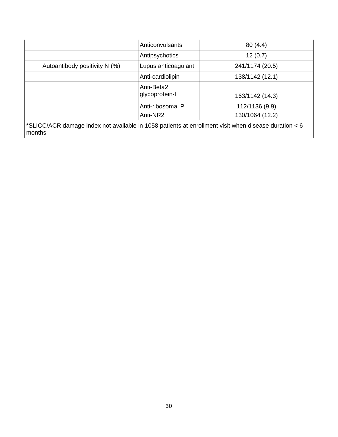|                                                                                                                | Anticonvulsants              | 80(4.4)         |  |  |  |
|----------------------------------------------------------------------------------------------------------------|------------------------------|-----------------|--|--|--|
|                                                                                                                | Antipsychotics               | 12(0.7)         |  |  |  |
| Autoantibody positivity N (%)                                                                                  | Lupus anticoagulant          | 241/1174 (20.5) |  |  |  |
|                                                                                                                | Anti-cardiolipin             | 138/1142 (12.1) |  |  |  |
|                                                                                                                | Anti-Beta2<br>glycoprotein-l | 163/1142 (14.3) |  |  |  |
|                                                                                                                | Anti-ribosomal P             | 112/1136 (9.9)  |  |  |  |
|                                                                                                                | Anti-NR2                     | 130/1064 (12.2) |  |  |  |
| *SLICC/ACR damage index not available in 1058 patients at enrollment visit when disease duration < 6<br>months |                              |                 |  |  |  |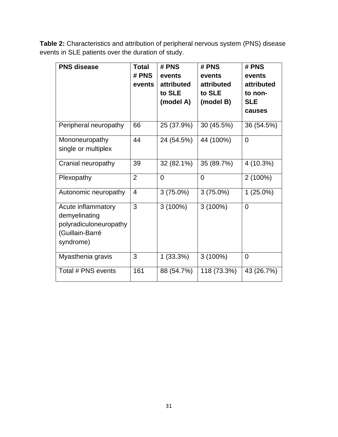**Table 2:** Characteristics and attribution of peripheral nervous system (PNS) disease events in SLE patients over the duration of study.

| <b>PNS disease</b>                                                                            | <b>Total</b><br># PNS<br>events | # PNS<br>events<br>attributed<br>to SLE | # PNS<br>events<br>attributed<br>to SLE | # PNS<br>events<br>attributed<br>to non- |
|-----------------------------------------------------------------------------------------------|---------------------------------|-----------------------------------------|-----------------------------------------|------------------------------------------|
|                                                                                               |                                 | (model A)                               | (model B)                               | <b>SLE</b><br>causes                     |
| Peripheral neuropathy                                                                         | 66                              | 25 (37.9%)                              | 30 (45.5%)                              | 36 (54.5%)                               |
| Mononeuropathy<br>single or multiplex                                                         | 44                              | 24 (54.5%)                              | 44 (100%)                               | $\overline{0}$                           |
| Cranial neuropathy                                                                            | 39                              | 32 (82.1%)                              | 35 (89.7%)                              | 4 (10.3%)                                |
| Plexopathy                                                                                    | $\overline{2}$                  | $\overline{0}$                          | $\overline{0}$                          | $2(100\%)$                               |
| Autonomic neuropathy                                                                          | 4                               | $3(75.0\%)$                             | $3(75.0\%)$                             | $1(25.0\%)$                              |
| Acute inflammatory<br>demyelinating<br>polyradiculoneuropathy<br>(Guillain-Barré<br>syndrome) | 3                               | $3(100\%)$                              | $3(100\%)$                              | $\overline{0}$                           |
| Myasthenia gravis                                                                             | 3                               | $1(33.3\%)$                             | $3(100\%)$                              | $\overline{0}$                           |
| Total # PNS events                                                                            | 161                             | 88 (54.7%)                              | 118 (73.3%)                             | 43 (26.7%)                               |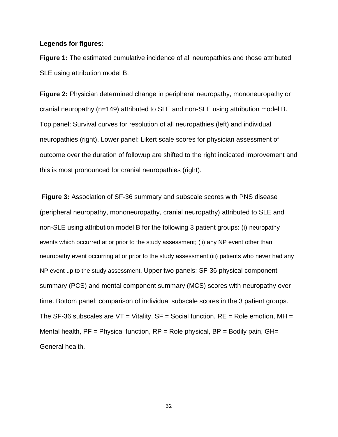#### **Legends for figures:**

**Figure 1:** The estimated cumulative incidence of all neuropathies and those attributed SLE using attribution model B.

**Figure 2:** Physician determined change in peripheral neuropathy, mononeuropathy or cranial neuropathy (n=149) attributed to SLE and non-SLE using attribution model B. Top panel: Survival curves for resolution of all neuropathies (left) and individual neuropathies (right). Lower panel: Likert scale scores for physician assessment of outcome over the duration of followup are shifted to the right indicated improvement and this is most pronounced for cranial neuropathies (right).

**Figure 3:** Association of SF-36 summary and subscale scores with PNS disease (peripheral neuropathy, mononeuropathy, cranial neuropathy) attributed to SLE and non-SLE using attribution model B for the following 3 patient groups: (i) neuropathy events which occurred at or prior to the study assessment; (ii) any NP event other than neuropathy event occurring at or prior to the study assessment;(iii) patients who never had any NP event up to the study assessment. Upper two panels: SF-36 physical component summary (PCS) and mental component summary (MCS) scores with neuropathy over time. Bottom panel: comparison of individual subscale scores in the 3 patient groups. The SF-36 subscales are  $VT = Vitality$ ,  $SF = Social function$ ,  $RE = Role$  emotion,  $MH =$ Mental health,  $PF = Physical function$ ,  $RP = Role physical$ ,  $BP = Bodily$  pain,  $GH =$ General health.